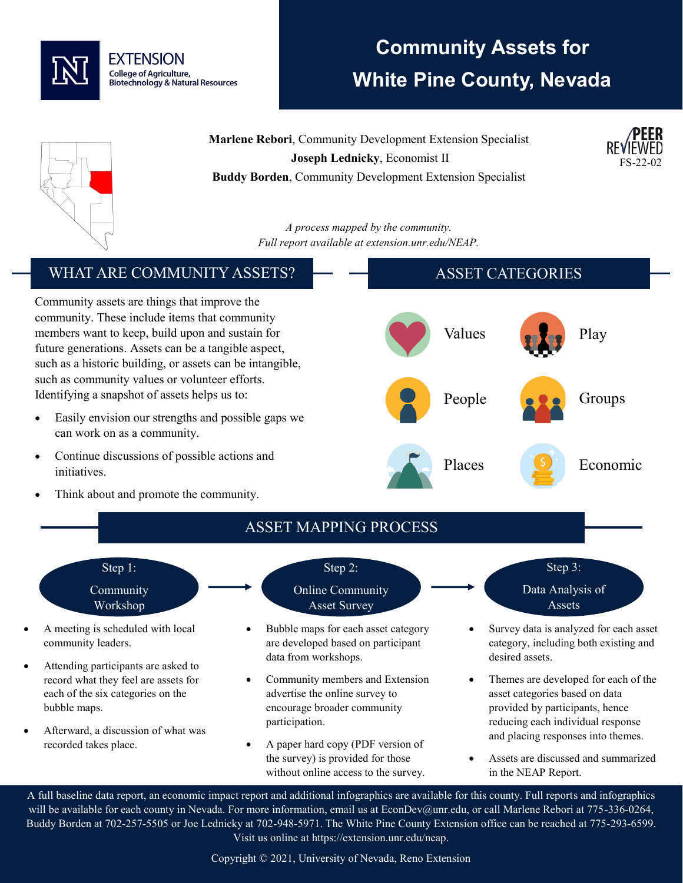

# **Community Assets for White Pine County, Nevada**

**Marlene Rebori**, Community Development Extension Specialist **Joseph Lednicky**, Economist II **Buddy Borden**, Community Development Extension Specialist





*A process mapped by the community. Full report available at extension.unr.edu/NEAP.*

#### WHAT ARE COMMUNITY ASSETS? Community assets are things that improve the community. These include items that community members want to keep, build upon and sustain for future generations. Assets can be a tangible aspect, such as a historic building, or assets can be intangible, such as community values or volunteer efforts. Identifying a snapshot of assets helps us to: Easily envision our strengths and possible gaps we can work on as a community. • Continue discussions of possible actions and initiatives. Think about and promote the community. ASSET CATEGORIES Values **Play** People **Groups** Groups Places S Economic ASSET MAPPING PROCESS Step 1: Community Workshop • A meeting is scheduled with local community leaders. • Attending participants are asked to record what they feel are assets for each of the six categories on the bubble maps. • Afterward, a discussion of what was recorded takes place. Step 2: Online Community Asset Survey • Bubble maps for each asset category are developed based on participant data from workshops. • Community members and Extension advertise the online survey to encourage broader community participation. • A paper hard copy (PDF version of the survey) is provided for those without online access to the survey. Step 3: Data Analysis of Assets • Survey data is analyzed for each asset category, including both existing and desired assets. • Themes are developed for each of the asset categories based on data provided by participants, hence reducing each individual response and placing responses into themes. • Assets are discussed and summarized in the NEAP Report.

A full baseline data report, an economic impact report and additional infographics are available for this county. Full reports and infographics will be available for each county in Nevada. For more information, email us at EconDev@unr.edu, or call Marlene Rebori at 775-336-0264, Buddy Borden at 702-257-5505 or Joe Lednicky at 702-948-5971. The White Pine County Extension office can be reached at 775-293-6599. Visit us online at https://extension.unr.edu/neap.